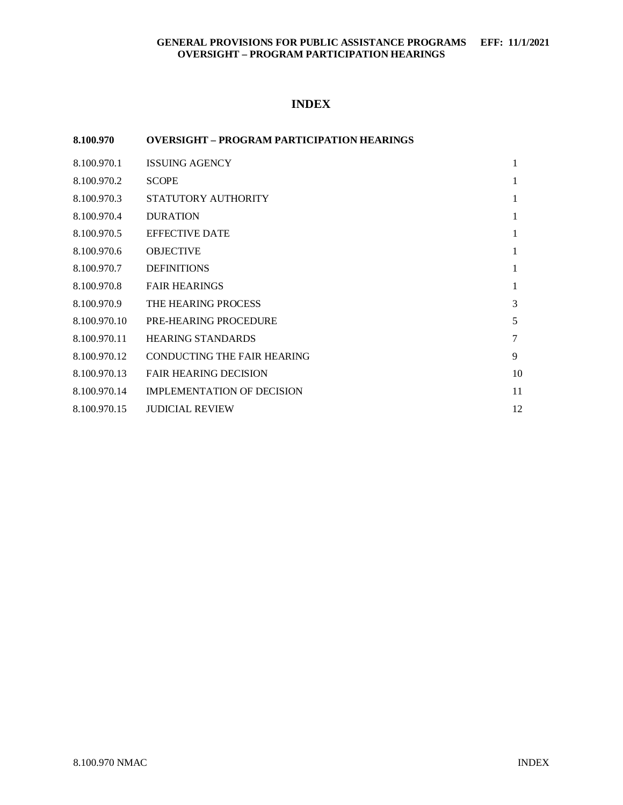# **INDEX**

## **8.100.970 OVERSIGHT – PROGRAM PARTICIPATION HEARINGS**

| 8.100.970.1  | <b>ISSUING AGENCY</b>              | 1      |
|--------------|------------------------------------|--------|
| 8.100.970.2  | <b>SCOPE</b>                       | 1      |
| 8.100.970.3  | STATUTORY AUTHORITY                | 1      |
| 8.100.970.4  | <b>DURATION</b>                    | 1      |
| 8.100.970.5  | <b>EFFECTIVE DATE</b>              | 1      |
| 8.100.970.6  | <b>OBJECTIVE</b>                   | 1      |
| 8.100.970.7  | <b>DEFINITIONS</b>                 | 1      |
| 8.100.970.8  | <b>FAIR HEARINGS</b>               | 1      |
| 8.100.970.9  | THE HEARING PROCESS                | 3      |
| 8.100.970.10 | <b>PRE-HEARING PROCEDURE</b>       | 5      |
| 8.100.970.11 | <b>HEARING STANDARDS</b>           | $\tau$ |
| 8.100.970.12 | <b>CONDUCTING THE FAIR HEARING</b> | 9      |
| 8.100.970.13 | <b>FAIR HEARING DECISION</b>       | 10     |
| 8.100.970.14 | <b>IMPLEMENTATION OF DECISION</b>  | 11     |
| 8.100.970.15 | <b>JUDICIAL REVIEW</b>             | 12     |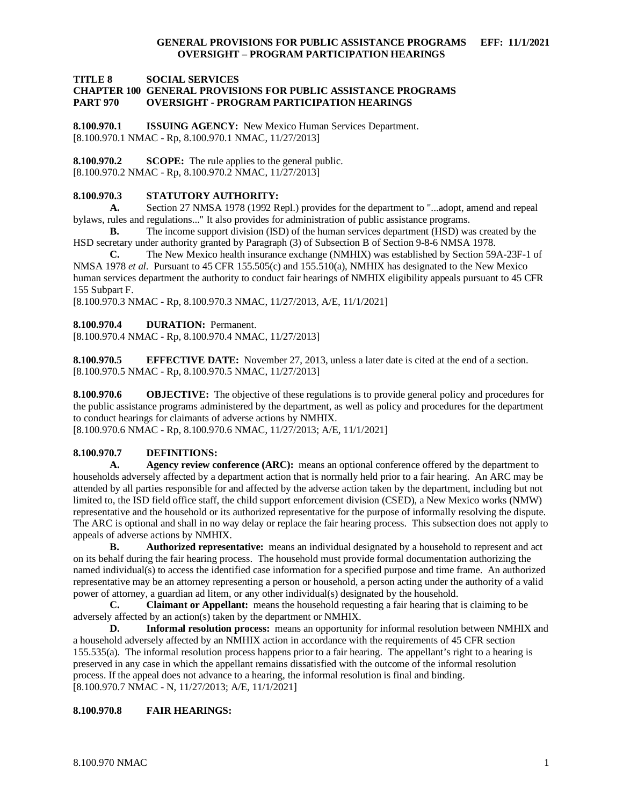**TITLE 8 SOCIAL SERVICES**

#### **CHAPTER 100 GENERAL PROVISIONS FOR PUBLIC ASSISTANCE PROGRAMS PART 970 OVERSIGHT - PROGRAM PARTICIPATION HEARINGS**

<span id="page-1-0"></span>**8.100.970.1 ISSUING AGENCY:** New Mexico Human Services Department. [8.100.970.1 NMAC - Rp, 8.100.970.1 NMAC, 11/27/2013]

<span id="page-1-1"></span>**8.100.970.2 SCOPE:** The rule applies to the general public. [8.100.970.2 NMAC - Rp, 8.100.970.2 NMAC, 11/27/2013]

#### <span id="page-1-2"></span>**8.100.970.3 STATUTORY AUTHORITY:**

**A.** Section 27 NMSA 1978 (1992 Repl.) provides for the department to "...adopt, amend and repeal bylaws, rules and regulations..." It also provides for administration of public assistance programs.

**B.** The income support division (ISD) of the human services department (HSD) was created by the HSD secretary under authority granted by Paragraph (3) of Subsection B of Section 9-8-6 NMSA 1978.

**C.** The New Mexico health insurance exchange (NMHIX) was established by Section 59A-23F-1 of NMSA 1978 *et al*. Pursuant to 45 CFR 155.505(c) and 155.510(a), NMHIX has designated to the New Mexico human services department the authority to conduct fair hearings of NMHIX eligibility appeals pursuant to 45 CFR 155 Subpart F.

[8.100.970.3 NMAC - Rp, 8.100.970.3 NMAC, 11/27/2013, A/E, 11/1/2021]

#### <span id="page-1-3"></span>**8.100.970.4 DURATION:** Permanent.

[8.100.970.4 NMAC - Rp, 8.100.970.4 NMAC, 11/27/2013]

<span id="page-1-4"></span>**8.100.970.5 EFFECTIVE DATE:** November 27, 2013, unless a later date is cited at the end of a section. [8.100.970.5 NMAC - Rp, 8.100.970.5 NMAC, 11/27/2013]

<span id="page-1-5"></span>**8.100.970.6 OBJECTIVE:** The objective of these regulations is to provide general policy and procedures for the public assistance programs administered by the department, as well as policy and procedures for the department to conduct hearings for claimants of adverse actions by NMHIX.

[8.100.970.6 NMAC - Rp, 8.100.970.6 NMAC, 11/27/2013; A/E, 11/1/2021]

#### <span id="page-1-6"></span>**8.100.970.7 DEFINITIONS:**

**A. Agency review conference (ARC):** means an optional conference offered by the department to households adversely affected by a department action that is normally held prior to a fair hearing. An ARC may be attended by all parties responsible for and affected by the adverse action taken by the department, including but not limited to, the ISD field office staff, the child support enforcement division (CSED), a New Mexico works (NMW) representative and the household or its authorized representative for the purpose of informally resolving the dispute. The ARC is optional and shall in no way delay or replace the fair hearing process. This subsection does not apply to appeals of adverse actions by NMHIX.

**B. Authorized representative:** means an individual designated by a household to represent and act on its behalf during the fair hearing process. The household must provide formal documentation authorizing the named individual(s) to access the identified case information for a specified purpose and time frame. An authorized representative may be an attorney representing a person or household, a person acting under the authority of a valid power of attorney, a guardian ad litem, or any other individual(s) designated by the household.<br> **C.** Claimant or Appellant: means the household requesting a fair hearing that

**C. Claimant or Appellant:** means the household requesting a fair hearing that is claiming to be adversely affected by an action(s) taken by the department or NMHIX.

**D. Informal resolution process:** means an opportunity for informal resolution between NMHIX and a household adversely affected by an NMHIX action in accordance with the requirements of 45 CFR section 155.535(a). The informal resolution process happens prior to a fair hearing. The appellant's right to a hearing is preserved in any case in which the appellant remains dissatisfied with the outcome of the informal resolution process. If the appeal does not advance to a hearing, the informal resolution is final and binding. [8.100.970.7 NMAC - N, 11/27/2013; A/E, 11/1/2021]

#### <span id="page-1-7"></span>**8.100.970.8 FAIR HEARINGS:**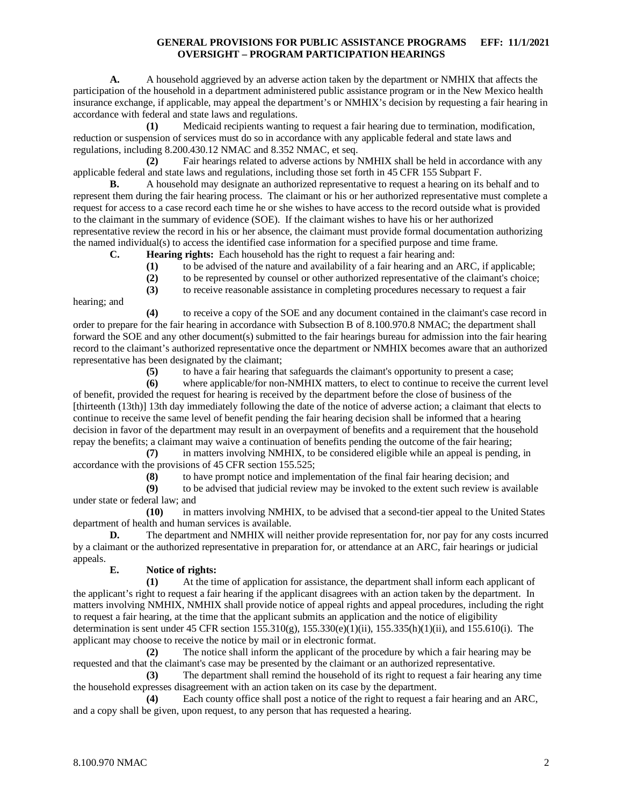**A.** A household aggrieved by an adverse action taken by the department or NMHIX that affects the participation of the household in a department administered public assistance program or in the New Mexico health insurance exchange, if applicable, may appeal the department's or NMHIX's decision by requesting a fair hearing in accordance with federal and state laws and regulations.

**(1)** Medicaid recipients wanting to request a fair hearing due to termination, modification, reduction or suspension of services must do so in accordance with any applicable federal and state laws and regulations, including 8.200.430.12 NMAC and 8.352 NMAC, et seq.

**(2)** Fair hearings related to adverse actions by NMHIX shall be held in accordance with any applicable federal and state laws and regulations, including those set forth in 45 CFR 155 Subpart F.

**B.** A household may designate an authorized representative to request a hearing on its behalf and to represent them during the fair hearing process. The claimant or his or her authorized representative must complete a request for access to a case record each time he or she wishes to have access to the record outside what is provided to the claimant in the summary of evidence (SOE). If the claimant wishes to have his or her authorized representative review the record in his or her absence, the claimant must provide formal documentation authorizing the named individual(s) to access the identified case information for a specified purpose and time frame.

- **C. Hearing rights:** Each household has the right to request a fair hearing and:
	- **(1)** to be advised of the nature and availability of a fair hearing and an ARC, if applicable;
	- **(2)** to be represented by counsel or other authorized representative of the claimant's choice;

**(3)** to receive reasonable assistance in completing procedures necessary to request a fair

hearing; and

**(4)** to receive a copy of the SOE and any document contained in the claimant's case record in order to prepare for the fair hearing in accordance with Subsection B of 8.100.970.8 NMAC; the department shall forward the SOE and any other document(s) submitted to the fair hearings bureau for admission into the fair hearing record to the claimant's authorized representative once the department or NMHIX becomes aware that an authorized representative has been designated by the claimant;

**(5)** to have a fair hearing that safeguards the claimant's opportunity to present a case;

**(6)** where applicable/for non-NMHIX matters, to elect to continue to receive the current level of benefit, provided the request for hearing is received by the department before the close of business of the [thirteenth (13th)] 13th day immediately following the date of the notice of adverse action; a claimant that elects to continue to receive the same level of benefit pending the fair hearing decision shall be informed that a hearing decision in favor of the department may result in an overpayment of benefits and a requirement that the household repay the benefits; a claimant may waive a continuation of benefits pending the outcome of the fair hearing;

**(7)** in matters involving NMHIX, to be considered eligible while an appeal is pending, in accordance with the provisions of 45 CFR section 155.525;

**(8)** to have prompt notice and implementation of the final fair hearing decision; and to be advised that judicial review may be invoked to the extent such review is ave

**(9)** to be advised that judicial review may be invoked to the extent such review is available under state or federal law; and

**(10)** in matters involving NMHIX, to be advised that a second-tier appeal to the United States department of health and human services is available.

**D.** The department and NMHIX will neither provide representation for, nor pay for any costs incurred by a claimant or the authorized representative in preparation for, or attendance at an ARC, fair hearings or judicial appeals.

## **E. Notice of rights:**

**(1)** At the time of application for assistance, the department shall inform each applicant of the applicant's right to request a fair hearing if the applicant disagrees with an action taken by the department. In matters involving NMHIX, NMHIX shall provide notice of appeal rights and appeal procedures, including the right to request a fair hearing, at the time that the applicant submits an application and the notice of eligibility determination is sent under 45 CFR section  $155.310(g)$ ,  $155.330(e)(1)(ii)$ ,  $155.335(h)(1)(ii)$ , and  $155.610(i)$ . The applicant may choose to receive the notice by mail or in electronic format.

**(2)** The notice shall inform the applicant of the procedure by which a fair hearing may be requested and that the claimant's case may be presented by the claimant or an authorized representative.

**(3)** The department shall remind the household of its right to request a fair hearing any time the household expresses disagreement with an action taken on its case by the department.

**(4)** Each county office shall post a notice of the right to request a fair hearing and an ARC, and a copy shall be given, upon request, to any person that has requested a hearing.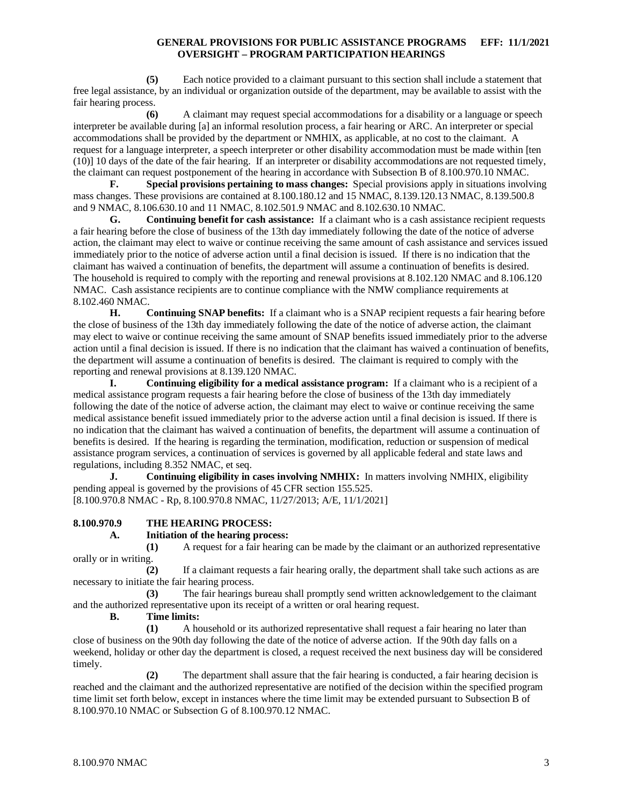**(5)** Each notice provided to a claimant pursuant to this section shall include a statement that free legal assistance, by an individual or organization outside of the department, may be available to assist with the fair hearing process.

**(6)** A claimant may request special accommodations for a disability or a language or speech interpreter be available during [a] an informal resolution process, a fair hearing or ARC. An interpreter or special accommodations shall be provided by the department or NMHIX, as applicable, at no cost to the claimant. A request for a language interpreter, a speech interpreter or other disability accommodation must be made within [ten (10)] 10 days of the date of the fair hearing. If an interpreter or disability accommodations are not requested timely, the claimant can request postponement of the hearing in accordance with Subsection B of 8.100.970.10 NMAC.

**F. Special provisions pertaining to mass changes:** Special provisions apply in situations involving mass changes. These provisions are contained at 8.100.180.12 and 15 NMAC, 8.139.120.13 NMAC, 8.139.500.8 and 9 NMAC, 8.106.630.10 and 11 NMAC, 8.102.501.9 NMAC and 8.102.630.10 NMAC.

**G. Continuing benefit for cash assistance:** If a claimant who is a cash assistance recipient requests a fair hearing before the close of business of the 13th day immediately following the date of the notice of adverse action, the claimant may elect to waive or continue receiving the same amount of cash assistance and services issued immediately prior to the notice of adverse action until a final decision is issued. If there is no indication that the claimant has waived a continuation of benefits, the department will assume a continuation of benefits is desired. The household is required to comply with the reporting and renewal provisions at 8.102.120 NMAC and 8.106.120 NMAC. Cash assistance recipients are to continue compliance with the NMW compliance requirements at 8.102.460 NMAC.

**H. Continuing SNAP benefits:** If a claimant who is a SNAP recipient requests a fair hearing before the close of business of the 13th day immediately following the date of the notice of adverse action, the claimant may elect to waive or continue receiving the same amount of SNAP benefits issued immediately prior to the adverse action until a final decision is issued. If there is no indication that the claimant has waived a continuation of benefits, the department will assume a continuation of benefits is desired. The claimant is required to comply with the reporting and renewal provisions at 8.139.120 NMAC.

**I. Continuing eligibility for a medical assistance program:** If a claimant who is a recipient of a medical assistance program requests a fair hearing before the close of business of the 13th day immediately following the date of the notice of adverse action, the claimant may elect to waive or continue receiving the same medical assistance benefit issued immediately prior to the adverse action until a final decision is issued. If there is no indication that the claimant has waived a continuation of benefits, the department will assume a continuation of benefits is desired. If the hearing is regarding the termination, modification, reduction or suspension of medical assistance program services, a continuation of services is governed by all applicable federal and state laws and regulations, including 8.352 NMAC, et seq.

**J. Continuing eligibility in cases involving NMHIX:** In matters involving NMHIX, eligibility pending appeal is governed by the provisions of 45 CFR section 155.525. [8.100.970.8 NMAC - Rp, 8.100.970.8 NMAC, 11/27/2013; A/E, 11/1/2021]

#### <span id="page-3-0"></span>**8.100.970.9 THE HEARING PROCESS:**

#### **A. Initiation of the hearing process:**

**(1)** A request for a fair hearing can be made by the claimant or an authorized representative orally or in writing.

**(2)** If a claimant requests a fair hearing orally, the department shall take such actions as are necessary to initiate the fair hearing process.

**(3)** The fair hearings bureau shall promptly send written acknowledgement to the claimant and the authorized representative upon its receipt of a written or oral hearing request.

**B. Time limits:**

**(1)** A household or its authorized representative shall request a fair hearing no later than close of business on the 90th day following the date of the notice of adverse action. If the 90th day falls on a weekend, holiday or other day the department is closed, a request received the next business day will be considered timely.

**(2)** The department shall assure that the fair hearing is conducted, a fair hearing decision is reached and the claimant and the authorized representative are notified of the decision within the specified program time limit set forth below, except in instances where the time limit may be extended pursuant to Subsection B of 8.100.970.10 NMAC or Subsection G of 8.100.970.12 NMAC.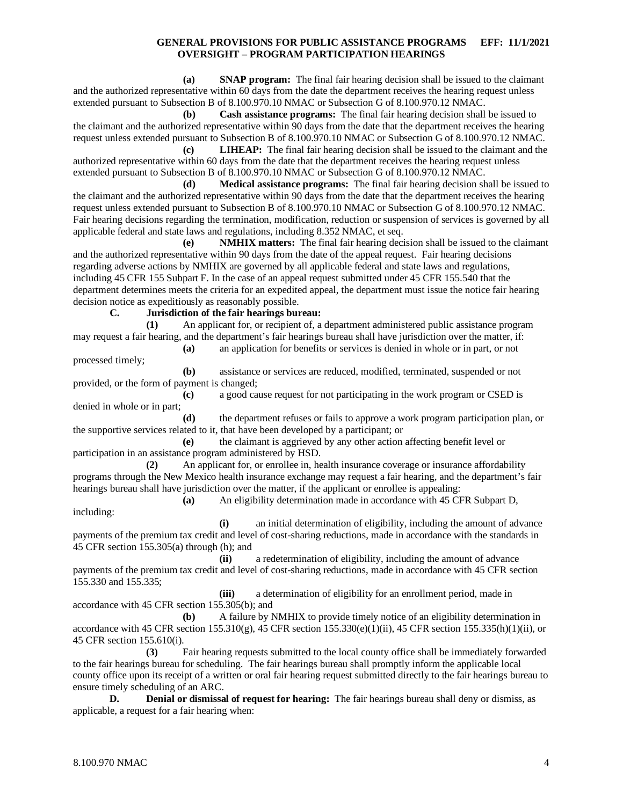**(a) SNAP program:** The final fair hearing decision shall be issued to the claimant and the authorized representative within 60 days from the date the department receives the hearing request unless extended pursuant to Subsection B of 8.100.970.10 NMAC or Subsection G of 8.100.970.12 NMAC.

**(b) Cash assistance programs:** The final fair hearing decision shall be issued to the claimant and the authorized representative within 90 days from the date that the department receives the hearing request unless extended pursuant to Subsection B of 8.100.970.10 NMAC or Subsection G of 8.100.970.12 NMAC.

**(c) LIHEAP:** The final fair hearing decision shall be issued to the claimant and the authorized representative within 60 days from the date that the department receives the hearing request unless extended pursuant to Subsection B of 8.100.970.10 NMAC or Subsection G of 8.100.970.12 NMAC.

**(d) Medical assistance programs:** The final fair hearing decision shall be issued to the claimant and the authorized representative within 90 days from the date that the department receives the hearing request unless extended pursuant to Subsection B of 8.100.970.10 NMAC or Subsection G of 8.100.970.12 NMAC. Fair hearing decisions regarding the termination, modification, reduction or suspension of services is governed by all applicable federal and state laws and regulations, including 8.352 NMAC, et seq.

**(e) NMHIX matters:** The final fair hearing decision shall be issued to the claimant and the authorized representative within 90 days from the date of the appeal request. Fair hearing decisions regarding adverse actions by NMHIX are governed by all applicable federal and state laws and regulations, including 45 CFR 155 Subpart F. In the case of an appeal request submitted under 45 CFR 155.540 that the department determines meets the criteria for an expedited appeal, the department must issue the notice fair hearing decision notice as expeditiously as reasonably possible.

**C. Jurisdiction of the fair hearings bureau:**

**(1)** An applicant for, or recipient of, a department administered public assistance program may request a fair hearing, and the department's fair hearings bureau shall have jurisdiction over the matter, if:

**(a)** an application for benefits or services is denied in whole or in part, or not processed timely;

**(b)** assistance or services are reduced, modified, terminated, suspended or not provided, or the form of payment is changed;

**(c)** a good cause request for not participating in the work program or CSED is denied in whole or in part;

**(d)** the department refuses or fails to approve a work program participation plan, or the supportive services related to it, that have been developed by a participant; or

**(e)** the claimant is aggrieved by any other action affecting benefit level or participation in an assistance program administered by HSD.

**(2)** An applicant for, or enrollee in, health insurance coverage or insurance affordability programs through the New Mexico health insurance exchange may request a fair hearing, and the department's fair hearings bureau shall have jurisdiction over the matter, if the applicant or enrollee is appealing:

**(a)** An eligibility determination made in accordance with 45 CFR Subpart D,

**(i)** an initial determination of eligibility, including the amount of advance payments of the premium tax credit and level of cost-sharing reductions, made in accordance with the standards in 45 CFR section 155.305(a) through (h); and

**(ii)** a redetermination of eligibility, including the amount of advance payments of the premium tax credit and level of cost-sharing reductions, made in accordance with 45 CFR section 155.330 and 155.335;

**(iii)** a determination of eligibility for an enrollment period, made in accordance with 45 CFR section 155.305(b); and

**(b)** A failure by NMHIX to provide timely notice of an eligibility determination in accordance with 45 CFR section  $155.310(g)$ , 45 CFR section  $155.330(e)(1)(ii)$ , 45 CFR section  $155.335(h)(1)(ii)$ , or 45 CFR section 155.610(i).

**(3)** Fair hearing requests submitted to the local county office shall be immediately forwarded to the fair hearings bureau for scheduling. The fair hearings bureau shall promptly inform the applicable local county office upon its receipt of a written or oral fair hearing request submitted directly to the fair hearings bureau to ensure timely scheduling of an ARC.

**D. Denial or dismissal of request for hearing:** The fair hearings bureau shall deny or dismiss, as applicable, a request for a fair hearing when:

including: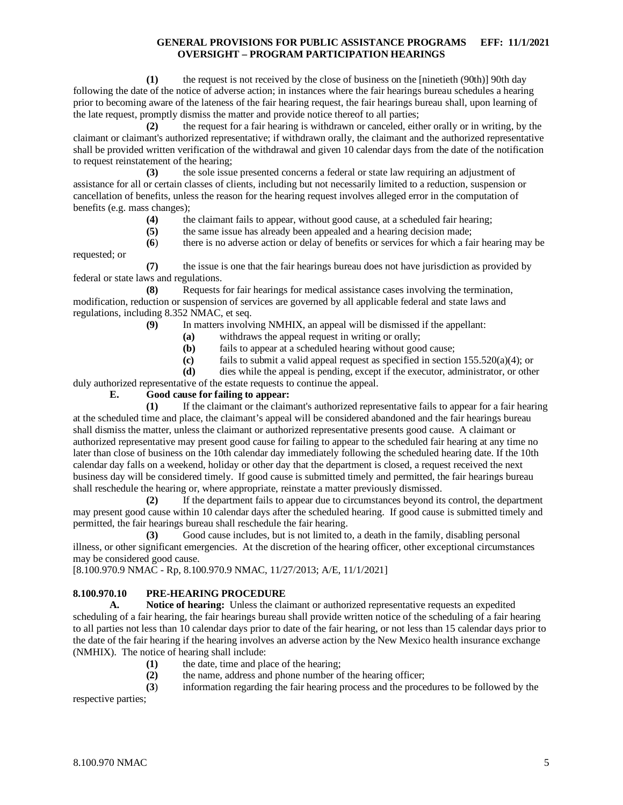**(1)** the request is not received by the close of business on the [ninetieth (90th)] 90th day following the date of the notice of adverse action; in instances where the fair hearings bureau schedules a hearing prior to becoming aware of the lateness of the fair hearing request, the fair hearings bureau shall, upon learning of the late request, promptly dismiss the matter and provide notice thereof to all parties;

**(2)** the request for a fair hearing is withdrawn or canceled, either orally or in writing, by the claimant or claimant's authorized representative; if withdrawn orally, the claimant and the authorized representative shall be provided written verification of the withdrawal and given 10 calendar days from the date of the notification to request reinstatement of the hearing;

**(3)** the sole issue presented concerns a federal or state law requiring an adjustment of assistance for all or certain classes of clients, including but not necessarily limited to a reduction, suspension or cancellation of benefits, unless the reason for the hearing request involves alleged error in the computation of benefits (e.g. mass changes);

- **(4)** the claimant fails to appear, without good cause, at a scheduled fair hearing;
- **(5)** the same issue has already been appealed and a hearing decision made;

**(6**) there is no adverse action or delay of benefits or services for which a fair hearing may be requested; or

**(7)** the issue is one that the fair hearings bureau does not have jurisdiction as provided by federal or state laws and regulations.

**(8)** Requests for fair hearings for medical assistance cases involving the termination, modification, reduction or suspension of services are governed by all applicable federal and state laws and regulations, including 8.352 NMAC, et seq.

- **(9)** In matters involving NMHIX, an appeal will be dismissed if the appellant:
	- **(a)** withdraws the appeal request in writing or orally;
	- **(b)** fails to appear at a scheduled hearing without good cause;
	- **(c)** fails to submit a valid appeal request as specified in section 155.520(a)(4); or

**(d)** dies while the appeal is pending, except if the executor, administrator, or other

duly authorized representative of the estate requests to continue the appeal.

#### **E. Good cause for failing to appear:**

**(1)** If the claimant or the claimant's authorized representative fails to appear for a fair hearing at the scheduled time and place, the claimant's appeal will be considered abandoned and the fair hearings bureau shall dismiss the matter, unless the claimant or authorized representative presents good cause. A claimant or authorized representative may present good cause for failing to appear to the scheduled fair hearing at any time no later than close of business on the 10th calendar day immediately following the scheduled hearing date. If the 10th calendar day falls on a weekend, holiday or other day that the department is closed, a request received the next business day will be considered timely. If good cause is submitted timely and permitted, the fair hearings bureau shall reschedule the hearing or, where appropriate, reinstate a matter previously dismissed.

**(2)** If the department fails to appear due to circumstances beyond its control, the department may present good cause within 10 calendar days after the scheduled hearing. If good cause is submitted timely and permitted, the fair hearings bureau shall reschedule the fair hearing.

**(3)** Good cause includes, but is not limited to, a death in the family, disabling personal illness, or other significant emergencies. At the discretion of the hearing officer, other exceptional circumstances may be considered good cause.

[8.100.970.9 NMAC - Rp, 8.100.970.9 NMAC, 11/27/2013; A/E, 11/1/2021]

# <span id="page-5-0"></span>**8.100.970.10 PRE-HEARING PROCEDURE**

**A. Notice of hearing:** Unless the claimant or authorized representative requests an expedited scheduling of a fair hearing, the fair hearings bureau shall provide written notice of the scheduling of a fair hearing to all parties not less than 10 calendar days prior to date of the fair hearing, or not less than 15 calendar days prior to the date of the fair hearing if the hearing involves an adverse action by the New Mexico health insurance exchange (NMHIX). The notice of hearing shall include:

- **(1)** the date, time and place of the hearing;
- **(2)** the name, address and phone number of the hearing officer;

**(3**) information regarding the fair hearing process and the procedures to be followed by the

respective parties;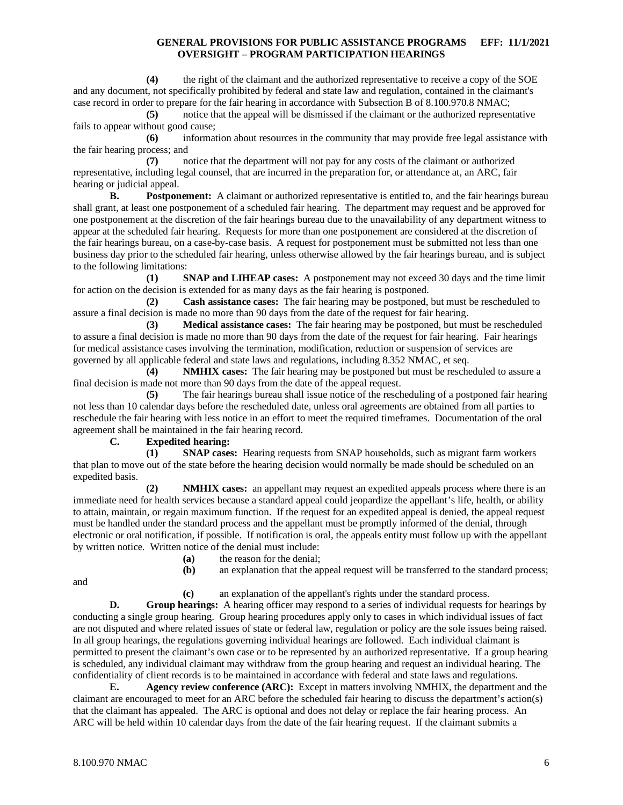**(4)** the right of the claimant and the authorized representative to receive a copy of the SOE and any document, not specifically prohibited by federal and state law and regulation, contained in the claimant's case record in order to prepare for the fair hearing in accordance with Subsection B of 8.100.970.8 NMAC;

**(5)** notice that the appeal will be dismissed if the claimant or the authorized representative fails to appear without good cause;

**(6)** information about resources in the community that may provide free legal assistance with the fair hearing process; and

**(7)** notice that the department will not pay for any costs of the claimant or authorized representative, including legal counsel, that are incurred in the preparation for, or attendance at, an ARC, fair hearing or judicial appeal.

**B. Postponement:** A claimant or authorized representative is entitled to, and the fair hearings bureau shall grant, at least one postponement of a scheduled fair hearing. The department may request and be approved for one postponement at the discretion of the fair hearings bureau due to the unavailability of any department witness to appear at the scheduled fair hearing. Requests for more than one postponement are considered at the discretion of the fair hearings bureau, on a case-by-case basis. A request for postponement must be submitted not less than one business day prior to the scheduled fair hearing, unless otherwise allowed by the fair hearings bureau, and is subject to the following limitations:

**(1) SNAP and LIHEAP cases:** A postponement may not exceed 30 days and the time limit for action on the decision is extended for as many days as the fair hearing is postponed.

**(2) Cash assistance cases:** The fair hearing may be postponed, but must be rescheduled to assure a final decision is made no more than 90 days from the date of the request for fair hearing.

**(3) Medical assistance cases:** The fair hearing may be postponed, but must be rescheduled to assure a final decision is made no more than 90 days from the date of the request for fair hearing. Fair hearings for medical assistance cases involving the termination, modification, reduction or suspension of services are governed by all applicable federal and state laws and regulations, including 8.352 NMAC, et seq.

**(4) NMHIX cases:** The fair hearing may be postponed but must be rescheduled to assure a final decision is made not more than 90 days from the date of the appeal request.

**(5)** The fair hearings bureau shall issue notice of the rescheduling of a postponed fair hearing not less than 10 calendar days before the rescheduled date, unless oral agreements are obtained from all parties to reschedule the fair hearing with less notice in an effort to meet the required timeframes. Documentation of the oral agreement shall be maintained in the fair hearing record.

#### **C. Expedited hearing:**

**(1) SNAP cases:** Hearing requests from SNAP households, such as migrant farm workers that plan to move out of the state before the hearing decision would normally be made should be scheduled on an expedited basis.

**(2) NMHIX cases:** an appellant may request an expedited appeals process where there is an immediate need for health services because a standard appeal could jeopardize the appellant's life, health, or ability to attain, maintain, or regain maximum function. If the request for an expedited appeal is denied, the appeal request must be handled under the standard process and the appellant must be promptly informed of the denial, through electronic or oral notification, if possible. If notification is oral, the appeals entity must follow up with the appellant by written notice. Written notice of the denial must include:

**(a)** the reason for the denial;<br>**(b)** an explanation that the ap

an explanation that the appeal request will be transferred to the standard process;

and

**(c)** an explanation of the appellant's rights under the standard process.

**D. Group hearings:** A hearing officer may respond to a series of individual requests for hearings by conducting a single group hearing. Group hearing procedures apply only to cases in which individual issues of fact are not disputed and where related issues of state or federal law, regulation or policy are the sole issues being raised. In all group hearings, the regulations governing individual hearings are followed. Each individual claimant is permitted to present the claimant's own case or to be represented by an authorized representative. If a group hearing is scheduled, any individual claimant may withdraw from the group hearing and request an individual hearing. The confidentiality of client records is to be maintained in accordance with federal and state laws and regulations.

**E. Agency review conference (ARC):** Except in matters involving NMHIX, the department and the claimant are encouraged to meet for an ARC before the scheduled fair hearing to discuss the department's action(s) that the claimant has appealed. The ARC is optional and does not delay or replace the fair hearing process. An ARC will be held within 10 calendar days from the date of the fair hearing request. If the claimant submits a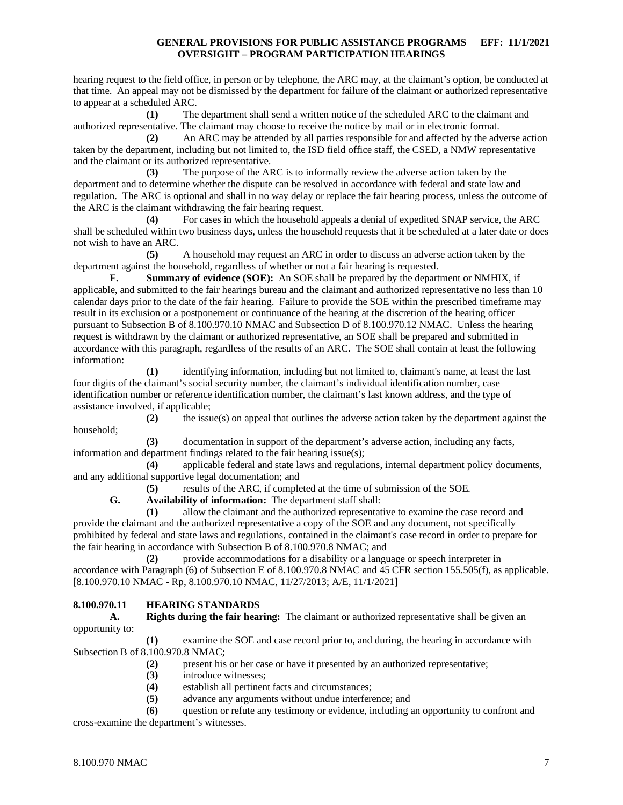hearing request to the field office, in person or by telephone, the ARC may, at the claimant's option, be conducted at that time. An appeal may not be dismissed by the department for failure of the claimant or authorized representative to appear at a scheduled ARC.

**(1)** The department shall send a written notice of the scheduled ARC to the claimant and authorized representative. The claimant may choose to receive the notice by mail or in electronic format.

**(2)** An ARC may be attended by all parties responsible for and affected by the adverse action taken by the department, including but not limited to, the ISD field office staff, the CSED, a NMW representative and the claimant or its authorized representative.

**(3)** The purpose of the ARC is to informally review the adverse action taken by the department and to determine whether the dispute can be resolved in accordance with federal and state law and regulation. The ARC is optional and shall in no way delay or replace the fair hearing process, unless the outcome of the ARC is the claimant withdrawing the fair hearing request.

**(4)** For cases in which the household appeals a denial of expedited SNAP service, the ARC shall be scheduled within two business days, unless the household requests that it be scheduled at a later date or does not wish to have an ARC.

**(5)** A household may request an ARC in order to discuss an adverse action taken by the department against the household, regardless of whether or not a fair hearing is requested.

**F. Summary of evidence (SOE):** An SOE shall be prepared by the department or NMHIX, if applicable, and submitted to the fair hearings bureau and the claimant and authorized representative no less than 10 calendar days prior to the date of the fair hearing. Failure to provide the SOE within the prescribed timeframe may result in its exclusion or a postponement or continuance of the hearing at the discretion of the hearing officer pursuant to Subsection B of 8.100.970.10 NMAC and Subsection D of 8.100.970.12 NMAC. Unless the hearing request is withdrawn by the claimant or authorized representative, an SOE shall be prepared and submitted in accordance with this paragraph, regardless of the results of an ARC. The SOE shall contain at least the following information:

**(1)** identifying information, including but not limited to, claimant's name, at least the last four digits of the claimant's social security number, the claimant's individual identification number, case identification number or reference identification number, the claimant's last known address, and the type of assistance involved, if applicable;

**(2)** the issue(s) on appeal that outlines the adverse action taken by the department against the household;

**(3)** documentation in support of the department's adverse action, including any facts, information and department findings related to the fair hearing issue(s);

**(4)** applicable federal and state laws and regulations, internal department policy documents, and any additional supportive legal documentation; and

**(5)** results of the ARC, if completed at the time of submission of the SOE.

**G. Availability of information:** The department staff shall:

**(1)** allow the claimant and the authorized representative to examine the case record and provide the claimant and the authorized representative a copy of the SOE and any document, not specifically prohibited by federal and state laws and regulations, contained in the claimant's case record in order to prepare for the fair hearing in accordance with Subsection B of 8.100.970.8 NMAC; and

**(2)** provide accommodations for a disability or a language or speech interpreter in accordance with Paragraph (6) of Subsection E of 8.100.970.8 NMAC and 45 CFR section 155.505(f), as applicable. [8.100.970.10 NMAC - Rp, 8.100.970.10 NMAC, 11/27/2013; A/E, 11/1/2021]

## <span id="page-7-0"></span>**8.100.970.11 HEARING STANDARDS**

**A. Rights during the fair hearing:** The claimant or authorized representative shall be given an opportunity to:

**(1)** examine the SOE and case record prior to, and during, the hearing in accordance with Subsection B of 8.100.970.8 NMAC;

- **(2)** present his or her case or have it presented by an authorized representative;
- **(3)** introduce witnesses;
- (4) establish all pertinent facts and circumstances;<br>(5) advance any arguments without undue interfere
- **(5)** advance any arguments without undue interference; and

**(6)** question or refute any testimony or evidence, including an opportunity to confront and cross-examine the department's witnesses.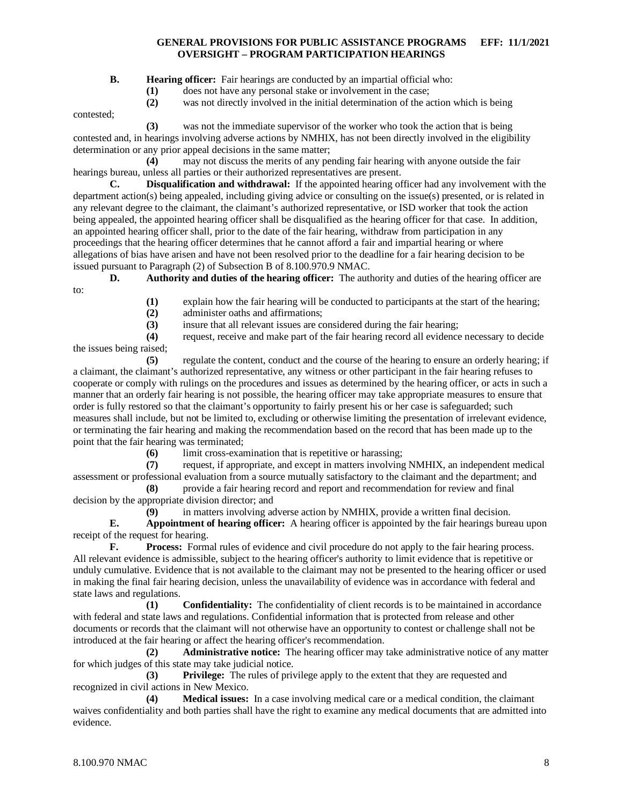**B. Hearing officer:** Fair hearings are conducted by an impartial official who:

**(1)** does not have any personal stake or involvement in the case;

**(2)** was not directly involved in the initial determination of the action which is being

contested;

**(3)** was not the immediate supervisor of the worker who took the action that is being contested and, in hearings involving adverse actions by NMHIX, has not been directly involved in the eligibility determination or any prior appeal decisions in the same matter;

**(4)** may not discuss the merits of any pending fair hearing with anyone outside the fair hearings bureau, unless all parties or their authorized representatives are present.

**C. Disqualification and withdrawal:** If the appointed hearing officer had any involvement with the department action(s) being appealed, including giving advice or consulting on the issue(s) presented, or is related in any relevant degree to the claimant, the claimant's authorized representative, or ISD worker that took the action being appealed, the appointed hearing officer shall be disqualified as the hearing officer for that case. In addition, an appointed hearing officer shall, prior to the date of the fair hearing, withdraw from participation in any proceedings that the hearing officer determines that he cannot afford a fair and impartial hearing or where allegations of bias have arisen and have not been resolved prior to the deadline for a fair hearing decision to be issued pursuant to Paragraph (2) of Subsection B of 8.100.970.9 NMAC.

**D. Authority and duties of the hearing officer:** The authority and duties of the hearing officer are to:

- (1) explain how the fair hearing will be conducted to participants at the start of the hearing;<br>(2) administer oaths and affirmations;
- **(2)** administer oaths and affirmations;
- **(3)** insure that all relevant issues are considered during the fair hearing;

**(4)** request, receive and make part of the fair hearing record all evidence necessary to decide the issues being raised;

**(5)** regulate the content, conduct and the course of the hearing to ensure an orderly hearing; if a claimant, the claimant's authorized representative, any witness or other participant in the fair hearing refuses to cooperate or comply with rulings on the procedures and issues as determined by the hearing officer, or acts in such a manner that an orderly fair hearing is not possible, the hearing officer may take appropriate measures to ensure that order is fully restored so that the claimant's opportunity to fairly present his or her case is safeguarded; such measures shall include, but not be limited to, excluding or otherwise limiting the presentation of irrelevant evidence, or terminating the fair hearing and making the recommendation based on the record that has been made up to the point that the fair hearing was terminated;

**(6)** limit cross-examination that is repetitive or harassing;<br>(7) request, if appropriate, and except in matters involving

**(7)** request, if appropriate, and except in matters involving NMHIX, an independent medical assessment or professional evaluation from a source mutually satisfactory to the claimant and the department; and

**(8)** provide a fair hearing record and report and recommendation for review and final decision by the appropriate division director; and

**(9)** in matters involving adverse action by NMHIX, provide a written final decision.

**E. Appointment of hearing officer:** A hearing officer is appointed by the fair hearings bureau upon receipt of the request for hearing.

**F. Process:** Formal rules of evidence and civil procedure do not apply to the fair hearing process. All relevant evidence is admissible, subject to the hearing officer's authority to limit evidence that is repetitive or unduly cumulative. Evidence that is not available to the claimant may not be presented to the hearing officer or used in making the final fair hearing decision, unless the unavailability of evidence was in accordance with federal and state laws and regulations.<br>(1)

**(1) Confidentiality:** The confidentiality of client records is to be maintained in accordance with federal and state laws and regulations. Confidential information that is protected from release and other documents or records that the claimant will not otherwise have an opportunity to contest or challenge shall not be introduced at the fair hearing or affect the hearing officer's recommendation.

**(2) Administrative notice:** The hearing officer may take administrative notice of any matter for which judges of this state may take judicial notice.

**(3) Privilege:** The rules of privilege apply to the extent that they are requested and recognized in civil actions in New Mexico.

**(4) Medical issues:** In a case involving medical care or a medical condition, the claimant waives confidentiality and both parties shall have the right to examine any medical documents that are admitted into evidence.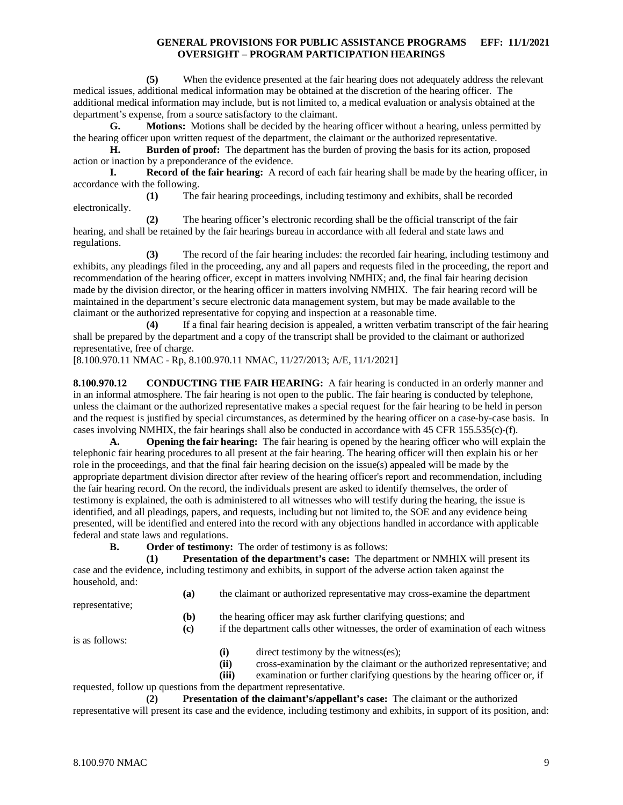**(5)** When the evidence presented at the fair hearing does not adequately address the relevant medical issues, additional medical information may be obtained at the discretion of the hearing officer. The additional medical information may include, but is not limited to, a medical evaluation or analysis obtained at the department's expense, from a source satisfactory to the claimant.

**G. Motions:** Motions shall be decided by the hearing officer without a hearing, unless permitted by the hearing officer upon written request of the department, the claimant or the authorized representative.

**H. Burden of proof:** The department has the burden of proving the basis for its action, proposed action or inaction by a preponderance of the evidence.

**I. Record of the fair hearing:** A record of each fair hearing shall be made by the hearing officer, in accordance with the following.

**(1)** The fair hearing proceedings, including testimony and exhibits, shall be recorded electronically.

**(2)** The hearing officer's electronic recording shall be the official transcript of the fair hearing, and shall be retained by the fair hearings bureau in accordance with all federal and state laws and regulations.

**(3)** The record of the fair hearing includes: the recorded fair hearing, including testimony and exhibits, any pleadings filed in the proceeding, any and all papers and requests filed in the proceeding, the report and recommendation of the hearing officer, except in matters involving NMHIX; and, the final fair hearing decision made by the division director, or the hearing officer in matters involving NMHIX. The fair hearing record will be maintained in the department's secure electronic data management system, but may be made available to the claimant or the authorized representative for copying and inspection at a reasonable time.

**(4)** If a final fair hearing decision is appealed, a written verbatim transcript of the fair hearing shall be prepared by the department and a copy of the transcript shall be provided to the claimant or authorized representative, free of charge.

[8.100.970.11 NMAC - Rp, 8.100.970.11 NMAC, 11/27/2013; A/E, 11/1/2021]

<span id="page-9-0"></span>**8.100.970.12 CONDUCTING THE FAIR HEARING:** A fair hearing is conducted in an orderly manner and in an informal atmosphere. The fair hearing is not open to the public. The fair hearing is conducted by telephone, unless the claimant or the authorized representative makes a special request for the fair hearing to be held in person and the request is justified by special circumstances, as determined by the hearing officer on a case-by-case basis. In cases involving NMHIX, the fair hearings shall also be conducted in accordance with 45 CFR 155.535(c)-(f).

**A. Opening the fair hearing:** The fair hearing is opened by the hearing officer who will explain the telephonic fair hearing procedures to all present at the fair hearing. The hearing officer will then explain his or her role in the proceedings, and that the final fair hearing decision on the issue(s) appealed will be made by the appropriate department division director after review of the hearing officer's report and recommendation, including the fair hearing record. On the record, the individuals present are asked to identify themselves, the order of testimony is explained, the oath is administered to all witnesses who will testify during the hearing, the issue is identified, and all pleadings, papers, and requests, including but not limited to, the SOE and any evidence being presented, will be identified and entered into the record with any objections handled in accordance with applicable federal and state laws and regulations.

**B. Order of testimony:** The order of testimony is as follows:

**(1) Presentation of the department's case:** The department or NMHIX will present its case and the evidence, including testimony and exhibits, in support of the adverse action taken against the household, and:

**(a)** the claimant or authorized representative may cross-examine the department

representative;

**(b)** the hearing officer may ask further clarifying questions; and

**(c)** if the department calls other witnesses, the order of examination of each witness

is as follows:

- **(i)** direct testimony by the witness(es);
- **(ii)** cross-examination by the claimant or the authorized representative; and

**(iii)** examination or further clarifying questions by the hearing officer or, if

requested, follow up questions from the department representative.

**(2) Presentation of the claimant's/appellant's case:** The claimant or the authorized representative will present its case and the evidence, including testimony and exhibits, in support of its position, and: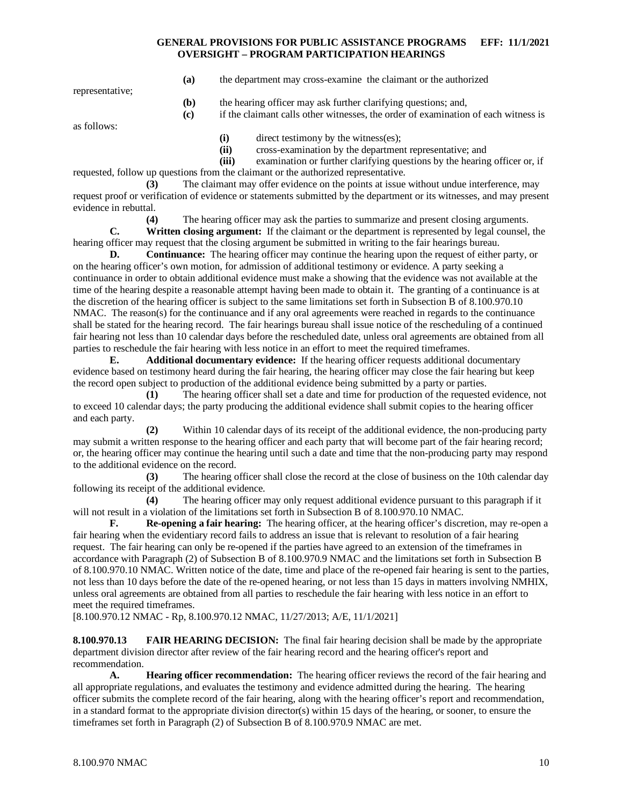**(a)** the department may cross-examine the claimant or the authorized

representative;

- **(b)** the hearing officer may ask further clarifying questions; and,
- **(c)** if the claimant calls other witnesses, the order of examination of each witness is

as follows:

**(i)** direct testimony by the witness(es);

**(ii)** cross-examination by the department representative; and

**(iii)** examination or further clarifying questions by the hearing officer or, if requested, follow up questions from the claimant or the authorized representative.

**(3)** The claimant may offer evidence on the points at issue without undue interference, may request proof or verification of evidence or statements submitted by the department or its witnesses, and may present evidence in rebuttal.

**(4)** The hearing officer may ask the parties to summarize and present closing arguments.

**C. Written closing argument:** If the claimant or the department is represented by legal counsel, the hearing officer may request that the closing argument be submitted in writing to the fair hearings bureau.

**D. Continuance:** The hearing officer may continue the hearing upon the request of either party, or on the hearing officer's own motion, for admission of additional testimony or evidence. A party seeking a continuance in order to obtain additional evidence must make a showing that the evidence was not available at the time of the hearing despite a reasonable attempt having been made to obtain it. The granting of a continuance is at the discretion of the hearing officer is subject to the same limitations set forth in Subsection B of 8.100.970.10 NMAC. The reason(s) for the continuance and if any oral agreements were reached in regards to the continuance shall be stated for the hearing record. The fair hearings bureau shall issue notice of the rescheduling of a continued fair hearing not less than 10 calendar days before the rescheduled date, unless oral agreements are obtained from all parties to reschedule the fair hearing with less notice in an effort to meet the required timeframes.

**E. Additional documentary evidence:** If the hearing officer requests additional documentary evidence based on testimony heard during the fair hearing, the hearing officer may close the fair hearing but keep the record open subject to production of the additional evidence being submitted by a party or parties.

**(1)** The hearing officer shall set a date and time for production of the requested evidence, not to exceed 10 calendar days; the party producing the additional evidence shall submit copies to the hearing officer and each party.

**(2)** Within 10 calendar days of its receipt of the additional evidence, the non-producing party may submit a written response to the hearing officer and each party that will become part of the fair hearing record; or, the hearing officer may continue the hearing until such a date and time that the non-producing party may respond to the additional evidence on the record.

**(3)** The hearing officer shall close the record at the close of business on the 10th calendar day following its receipt of the additional evidence.

**(4)** The hearing officer may only request additional evidence pursuant to this paragraph if it will not result in a violation of the limitations set forth in Subsection B of 8.100.970.10 NMAC.

**F. Re-opening a fair hearing:** The hearing officer, at the hearing officer's discretion, may re-open a fair hearing when the evidentiary record fails to address an issue that is relevant to resolution of a fair hearing request. The fair hearing can only be re-opened if the parties have agreed to an extension of the timeframes in accordance with Paragraph (2) of Subsection B of 8.100.970.9 NMAC and the limitations set forth in Subsection B of 8.100.970.10 NMAC. Written notice of the date, time and place of the re-opened fair hearing is sent to the parties, not less than 10 days before the date of the re-opened hearing, or not less than 15 days in matters involving NMHIX, unless oral agreements are obtained from all parties to reschedule the fair hearing with less notice in an effort to meet the required timeframes.

[8.100.970.12 NMAC - Rp, 8.100.970.12 NMAC, 11/27/2013; A/E, 11/1/2021]

<span id="page-10-0"></span>**8.100.970.13 FAIR HEARING DECISION:** The final fair hearing decision shall be made by the appropriate department division director after review of the fair hearing record and the hearing officer's report and recommendation.

**A. Hearing officer recommendation:** The hearing officer reviews the record of the fair hearing and all appropriate regulations, and evaluates the testimony and evidence admitted during the hearing. The hearing officer submits the complete record of the fair hearing, along with the hearing officer's report and recommendation, in a standard format to the appropriate division director(s) within 15 days of the hearing, or sooner, to ensure the timeframes set forth in Paragraph (2) of Subsection B of 8.100.970.9 NMAC are met.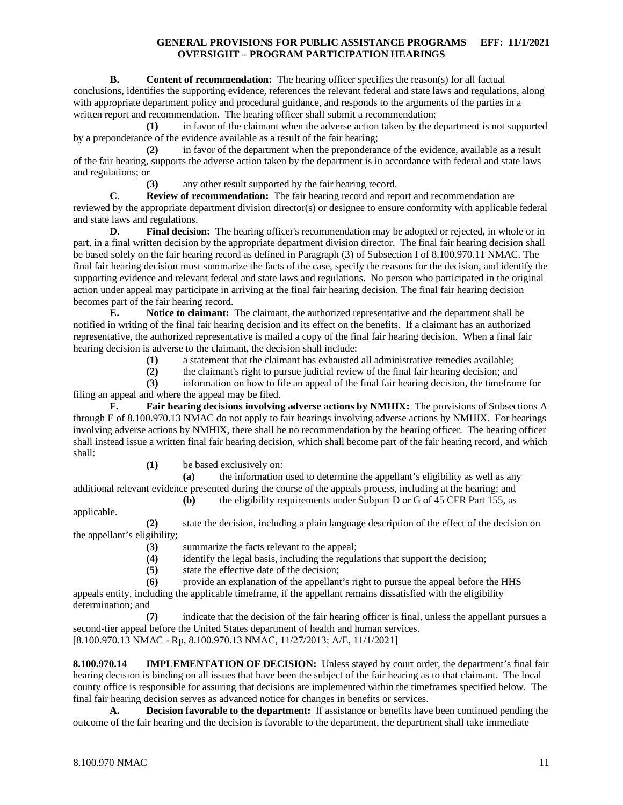**B. Content of recommendation:** The hearing officer specifies the reason(s) for all factual conclusions, identifies the supporting evidence, references the relevant federal and state laws and regulations, along with appropriate department policy and procedural guidance, and responds to the arguments of the parties in a written report and recommendation. The hearing officer shall submit a recommendation:

**(1)** in favor of the claimant when the adverse action taken by the department is not supported by a preponderance of the evidence available as a result of the fair hearing;

**(2)** in favor of the department when the preponderance of the evidence, available as a result of the fair hearing, supports the adverse action taken by the department is in accordance with federal and state laws and regulations; or

**(3)** any other result supported by the fair hearing record.

**C**. **Review of recommendation:** The fair hearing record and report and recommendation are reviewed by the appropriate department division director(s) or designee to ensure conformity with applicable federal and state laws and regulations.

**D. Final decision:** The hearing officer's recommendation may be adopted or rejected, in whole or in part, in a final written decision by the appropriate department division director. The final fair hearing decision shall be based solely on the fair hearing record as defined in Paragraph (3) of Subsection I of 8.100.970.11 NMAC. The final fair hearing decision must summarize the facts of the case, specify the reasons for the decision, and identify the supporting evidence and relevant federal and state laws and regulations. No person who participated in the original action under appeal may participate in arriving at the final fair hearing decision. The final fair hearing decision becomes part of the fair hearing record.

**E. Notice to claimant:** The claimant, the authorized representative and the department shall be notified in writing of the final fair hearing decision and its effect on the benefits. If a claimant has an authorized representative, the authorized representative is mailed a copy of the final fair hearing decision. When a final fair hearing decision is adverse to the claimant, the decision shall include:

**(1)** a statement that the claimant has exhausted all administrative remedies available;

**(2)** the claimant's right to pursue judicial review of the final fair hearing decision; and

**(3)** information on how to file an appeal of the final fair hearing decision, the timeframe for filing an appeal and where the appeal may be filed.

**F. Fair hearing decisions involving adverse actions by NMHIX:** The provisions of Subsections A through E of 8.100.970.13 NMAC do not apply to fair hearings involving adverse actions by NMHIX. For hearings involving adverse actions by NMHIX, there shall be no recommendation by the hearing officer. The hearing officer shall instead issue a written final fair hearing decision, which shall become part of the fair hearing record, and which shall:

**(1)** be based exclusively on:

**(a)** the information used to determine the appellant's eligibility as well as any additional relevant evidence presented during the course of the appeals process, including at the hearing; and

**(b)** the eligibility requirements under Subpart D or G of 45 CFR Part 155, as

applicable.

**(2)** state the decision, including a plain language description of the effect of the decision on the appellant's eligibility;

(3) summarize the facts relevant to the appeal;<br>(4) identify the legal basis, including the regularity

- **(4)** identify the legal basis, including the regulations that support the decision;
- state the effective date of the decision;
- **(6)** provide an explanation of the appellant's right to pursue the appeal before the HHS

appeals entity, including the applicable timeframe, if the appellant remains dissatisfied with the eligibility determination; and

**(7)** indicate that the decision of the fair hearing officer is final, unless the appellant pursues a second-tier appeal before the United States department of health and human services. [8.100.970.13 NMAC - Rp, 8.100.970.13 NMAC, 11/27/2013; A/E, 11/1/2021]

<span id="page-11-0"></span>**8.100.970.14 IMPLEMENTATION OF DECISION:** Unless stayed by court order, the department's final fair hearing decision is binding on all issues that have been the subject of the fair hearing as to that claimant. The local county office is responsible for assuring that decisions are implemented within the timeframes specified below. The final fair hearing decision serves as advanced notice for changes in benefits or services.

**A. Decision favorable to the department:** If assistance or benefits have been continued pending the outcome of the fair hearing and the decision is favorable to the department, the department shall take immediate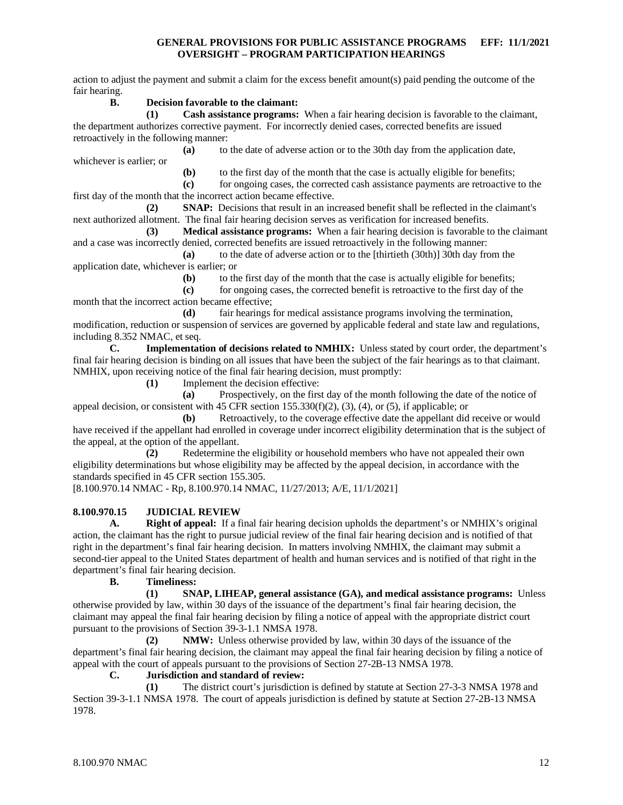action to adjust the payment and submit a claim for the excess benefit amount(s) paid pending the outcome of the fair hearing.

#### **B. Decision favorable to the claimant:**

whichever is earlier; or

**(1) Cash assistance programs:** When a fair hearing decision is favorable to the claimant, the department authorizes corrective payment. For incorrectly denied cases, corrected benefits are issued retroactively in the following manner:

**(a)** to the date of adverse action or to the 30th day from the application date,

**(b)** to the first day of the month that the case is actually eligible for benefits;

**(c)** for ongoing cases, the corrected cash assistance payments are retroactive to the first day of the month that the incorrect action became effective.

**(2) SNAP:** Decisions that result in an increased benefit shall be reflected in the claimant's next authorized allotment. The final fair hearing decision serves as verification for increased benefits.

**(3) Medical assistance programs:** When a fair hearing decision is favorable to the claimant and a case was incorrectly denied, corrected benefits are issued retroactively in the following manner:

**(a)** to the date of adverse action or to the [thirtieth (30th)] 30th day from the application date, whichever is earlier; or

**(b)** to the first day of the month that the case is actually eligible for benefits;

**(c)** for ongoing cases, the corrected benefit is retroactive to the first day of the month that the incorrect action became effective;

**(d)** fair hearings for medical assistance programs involving the termination, modification, reduction or suspension of services are governed by applicable federal and state law and regulations, including 8.352 NMAC, et seq.<br> **C.** Implementat

**C. Implementation of decisions related to NMHIX:** Unless stated by court order, the department's final fair hearing decision is binding on all issues that have been the subject of the fair hearings as to that claimant. NMHIX, upon receiving notice of the final fair hearing decision, must promptly:

**(1)** Implement the decision effective:

**(a)** Prospectively, on the first day of the month following the date of the notice of appeal decision, or consistent with 45 CFR section  $155.330(f)(2)$ ,  $(3)$ ,  $(4)$ , or  $(5)$ , if applicable; or

**(b)** Retroactively, to the coverage effective date the appellant did receive or would have received if the appellant had enrolled in coverage under incorrect eligibility determination that is the subject of the appeal, at the option of the appellant.

**(2)** Redetermine the eligibility or household members who have not appealed their own eligibility determinations but whose eligibility may be affected by the appeal decision, in accordance with the standards specified in 45 CFR section 155.305.

[8.100.970.14 NMAC - Rp, 8.100.970.14 NMAC, 11/27/2013; A/E, 11/1/2021]

#### <span id="page-12-0"></span>**8.100.970.15 JUDICIAL REVIEW**

**A. Right of appeal:** If a final fair hearing decision upholds the department's or NMHIX's original action, the claimant has the right to pursue judicial review of the final fair hearing decision and is notified of that right in the department's final fair hearing decision. In matters involving NMHIX, the claimant may submit a second-tier appeal to the United States department of health and human services and is notified of that right in the department's final fair hearing decision.

#### **B. Timeliness:**

**(1) SNAP, LIHEAP, general assistance (GA), and medical assistance programs:** Unless otherwise provided by law, within 30 days of the issuance of the department's final fair hearing decision, the claimant may appeal the final fair hearing decision by filing a notice of appeal with the appropriate district court pursuant to the provisions of Section 39-3-1.1 NMSA 1978.

**(2) NMW:** Unless otherwise provided by law, within 30 days of the issuance of the department's final fair hearing decision, the claimant may appeal the final fair hearing decision by filing a notice of appeal with the court of appeals pursuant to the provisions of Section 27-2B-13 NMSA 1978.

#### **C. Jurisdiction and standard of review:**

**(1)** The district court's jurisdiction is defined by statute at Section 27-3-3 NMSA 1978 and Section 39-3-1.1 NMSA 1978. The court of appeals jurisdiction is defined by statute at Section 27-2B-13 NMSA 1978.